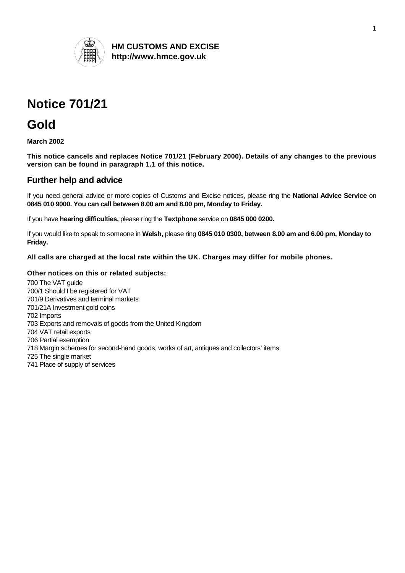

**HM CUSTOMS AND EXCISE http://www.hmce.gov.uk** 

# **Notice 701/21**

## **Gold**

**March 2002** 

**This notice cancels and replaces Notice 701/21 (February 2000). Details of any changes to the previous version can be found in paragraph 1.1 of this notice.** 

## **Further help and advice**

If you need general advice or more copies of Customs and Excise notices, please ring the **National Advice Service** on **0845 010 9000. You can call between 8.00 am and 8.00 pm, Monday to Friday.**

If you have **hearing difficulties,** please ring the **Textphone** service on **0845 000 0200.**

If you would like to speak to someone in **Welsh,** please ring **0845 010 0300, between 8.00 am and 6.00 pm, Monday to Friday.** 

**All calls are charged at the local rate within the UK. Charges may differ for mobile phones.** 

## **Other notices on this or related subjects:**

700 The VAT guide 700/1 Should I be registered for VAT 701/9 Derivatives and terminal markets 701/21A Investment gold coins 702 Imports 703 Exports and removals of goods from the United Kingdom 704 VAT retail exports 706 Partial exemption 718 Margin schemes for second-hand goods, works of art, antiques and collectors' items 725 The single market 741 Place of supply of services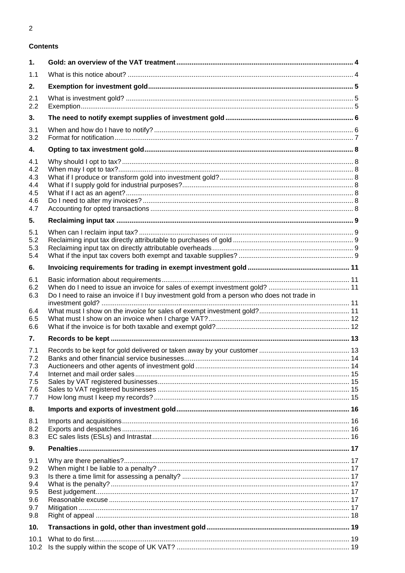## **Contents**

| 1.                                                   |                                                                                            |  |
|------------------------------------------------------|--------------------------------------------------------------------------------------------|--|
| 1.1                                                  |                                                                                            |  |
| 2.                                                   |                                                                                            |  |
| 2.1<br>2.2                                           |                                                                                            |  |
| 3.                                                   |                                                                                            |  |
| 3.1<br>3.2                                           |                                                                                            |  |
| 4.                                                   |                                                                                            |  |
| 4.1<br>4.2<br>4.3<br>4.4<br>4.5<br>4.6<br>4.7        |                                                                                            |  |
| 5.                                                   |                                                                                            |  |
| 5.1<br>5.2<br>5.3<br>5.4                             |                                                                                            |  |
| 6.                                                   |                                                                                            |  |
| 6.1<br>6.2<br>6.3<br>6.4<br>6.5                      | Do I need to raise an invoice if I buy investment gold from a person who does not trade in |  |
| 6.6                                                  |                                                                                            |  |
| 7.                                                   |                                                                                            |  |
| 7.1<br>7.2<br>7.3<br>7.4<br>7.5<br>7.6<br>7.7        |                                                                                            |  |
| 8.                                                   |                                                                                            |  |
| 8.1<br>8.2<br>8.3                                    |                                                                                            |  |
| 9.                                                   |                                                                                            |  |
| 9.1<br>9.2<br>9.3<br>9.4<br>9.5<br>9.6<br>9.7<br>9.8 |                                                                                            |  |
| 10.                                                  |                                                                                            |  |
| 10.1<br>10.2                                         |                                                                                            |  |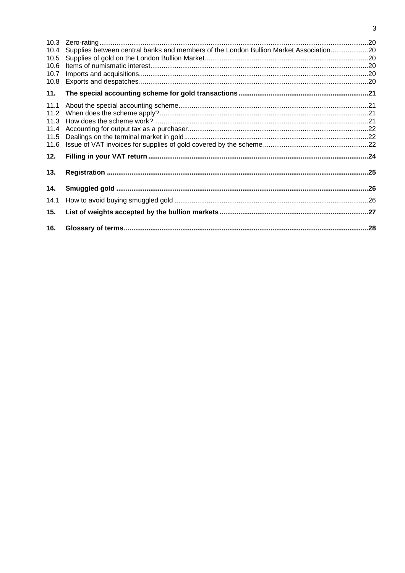| 10.4 | Supplies between central banks and members of the London Bullion Market Association20 |  |
|------|---------------------------------------------------------------------------------------|--|
| 10.5 |                                                                                       |  |
| 10.6 |                                                                                       |  |
| 10.7 |                                                                                       |  |
| 10.8 |                                                                                       |  |
| 11.  |                                                                                       |  |
| 11.1 |                                                                                       |  |
|      |                                                                                       |  |
|      |                                                                                       |  |
| 11.4 |                                                                                       |  |
| 11.5 |                                                                                       |  |
| 11.6 |                                                                                       |  |
| 12.  |                                                                                       |  |
| 13.  |                                                                                       |  |
| 14.  |                                                                                       |  |
| 14.1 |                                                                                       |  |
| 15.  |                                                                                       |  |
| 16.  |                                                                                       |  |
|      |                                                                                       |  |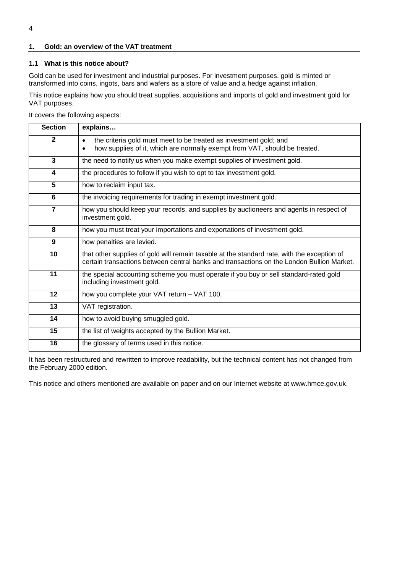## <span id="page-3-0"></span>**1. Gold: an overview of the VAT treatment**

## <span id="page-3-1"></span>**1.1 What is this notice about?**

Gold can be used for investment and industrial purposes. For investment purposes, gold is minted or transformed into coins, ingots, bars and wafers as a store of value and a hedge against inflation.

This notice explains how you should treat supplies, acquisitions and imports of gold and investment gold for VAT purposes.

It covers the following aspects:

| <b>Section</b> | explains                                                                                                                                                                                 |  |
|----------------|------------------------------------------------------------------------------------------------------------------------------------------------------------------------------------------|--|
| $\mathbf{2}$   | the criteria gold must meet to be treated as investment gold; and<br>$\bullet$<br>how supplies of it, which are normally exempt from VAT, should be treated.<br>$\bullet$                |  |
| 3              | the need to notify us when you make exempt supplies of investment gold.                                                                                                                  |  |
| 4              | the procedures to follow if you wish to opt to tax investment gold.                                                                                                                      |  |
| 5              | how to reclaim input tax.                                                                                                                                                                |  |
| 6              | the invoicing requirements for trading in exempt investment gold.                                                                                                                        |  |
| $\overline{7}$ | how you should keep your records, and supplies by auctioneers and agents in respect of<br>investment gold.                                                                               |  |
| 8              | how you must treat your importations and exportations of investment gold.                                                                                                                |  |
| 9              | how penalties are levied.                                                                                                                                                                |  |
| 10             | that other supplies of gold will remain taxable at the standard rate, with the exception of<br>certain transactions between central banks and transactions on the London Bullion Market. |  |
| 11             | the special accounting scheme you must operate if you buy or sell standard-rated gold<br>including investment gold.                                                                      |  |
| 12             | how you complete your VAT return - VAT 100.                                                                                                                                              |  |
| 13             | VAT registration.                                                                                                                                                                        |  |
| 14             | how to avoid buying smuggled gold.                                                                                                                                                       |  |
| 15             | the list of weights accepted by the Bullion Market.                                                                                                                                      |  |
| 16             | the glossary of terms used in this notice.                                                                                                                                               |  |

It has been restructured and rewritten to improve readability, but the technical content has not changed from the February 2000 edition.

This notice and others mentioned are available on paper and on our Internet website at www.hmce.gov.uk.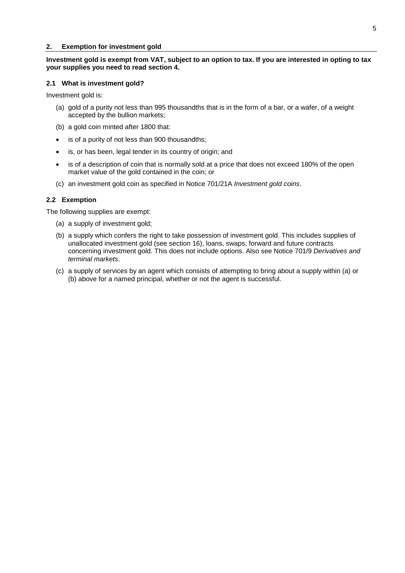#### <span id="page-4-0"></span>**2. Exemption for investment gold**

## **Investment gold is exempt from VAT, subject to an option to tax. If you are interested in opting to tax your supplies you need to read section [4.](#page-7-0)**

#### <span id="page-4-1"></span>**2.1 What is investment gold?**

Investment gold is:

- (a) gold of a purity not less than 995 thousandths that is in the form of a bar, or a wafer, of a weight accepted by the bullion markets;
- (b) a gold coin minted after 1800 that:
- is of a purity of not less than 900 thousandths;
- is, or has been, legal tender in its country of origin; and
- is of a description of coin that is normally sold at a price that does not exceed 180% of the open market value of the gold contained in the coin; or
- (c) an investment gold coin as specified in Notice 701/21A *Investment gold coins*.

## <span id="page-4-2"></span>**2.2 Exemption**

The following supplies are exempt:

- (a) a supply of investment gold;
- (b) a supply which confers the right to take possession of investment gold. This includes supplies of unallocated investment gold (see section [16\)](#page-27-0), loans, swaps, forward and future contracts concerning investment gold. This does not include options. Also see Notice 701/9 *Derivatives and terminal markets*.
- (c) a supply of services by an agent which consists of attempting to bring about a supply within (a) or (b) above for a named principal, whether or not the agent is successful.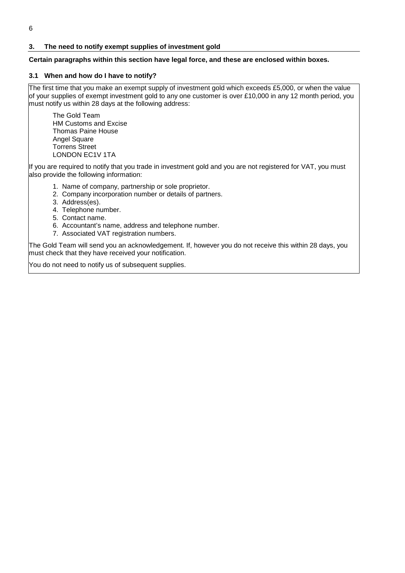## <span id="page-5-0"></span>**3. The need to notify exempt supplies of investment gold**

## **Certain paragraphs within this section have legal force, and these are enclosed within boxes.**

## <span id="page-5-1"></span>**3.1 When and how do I have to notify?**

The first time that you make an exempt supply of investment gold which exceeds £5,000, or when the value of your supplies of exempt investment gold to any one customer is over £10,000 in any 12 month period, you must notify us within 28 days at the following address:

The Gold Team HM Customs and Excise Thomas Paine House Angel Square Torrens Street LONDON EC1V 1TA

If you are required to notify that you trade in investment gold and you are not registered for VAT, you must also provide the following information:

- 1. Name of company, partnership or sole proprietor.
- 2. Company incorporation number or details of partners.
- 3. Address(es).
- 4. Telephone number.
- 5. Contact name.
- 6. Accountant's name, address and telephone number.
- 7. Associated VAT registration numbers.

The Gold Team will send you an acknowledgement. If, however you do not receive this within 28 days, you must check that they have received your notification.

You do not need to notify us of subsequent supplies.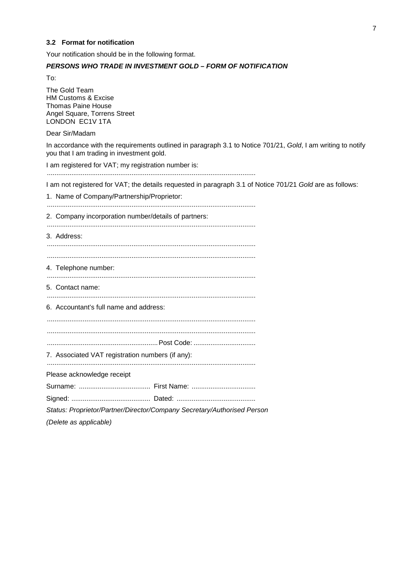## <span id="page-6-0"></span>**3.2 Format for notification**

Your notification should be in the following format.

## *PERSONS WHO TRADE IN INVESTMENT GOLD – FORM OF NOTIFICATION*

To:

The Gold Team HM Customs & Excise Thomas Paine House Angel Square, Torrens Street LONDON EC1V 1TA

Dear Sir/Madam

In accordance with the requirements outlined in paragraph [3.1](#page-5-1) to Notice 701/21, *Gold*, I am writing to notify you that I am trading in investment gold.

I am registered for VAT; my registration number is: ...............................................................................................................

I am not registered for VAT; the details requested in paragraph [3.1 o](#page-5-1)f Notice 701/21 *Gold* are as follows:

1. Name of Company/Partnership/Proprietor:

............................................................................................................... 2. Company incorporation number/details of partners: ............................................................................................................... 3. Address: ............................................................................................................... ............................................................................................................... 4. Telephone number: ............................................................................................................... 5. Contact name: ............................................................................................................... 6. Accountant's full name and address: ............................................................................................................... ............................................................................................................... ...........................................................Post Code: ................................. 7. Associated VAT registration numbers (if any): ............................................................................................................... Please acknowledge receipt Surname: ...................................... First Name: .................................. Signed: .......................................... Dated: .......................................... *Status: Proprietor/Partner/Director/Company Secretary/Authorised Person (Delete as applicable)*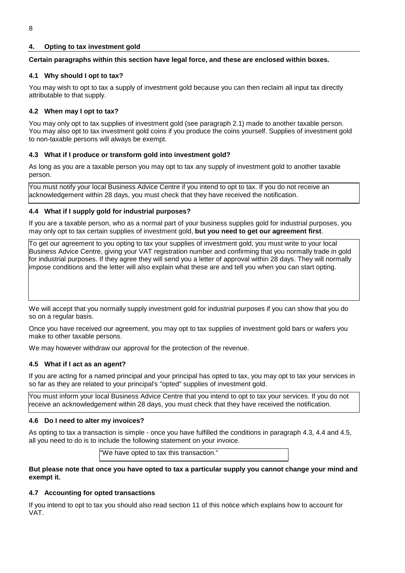## <span id="page-7-0"></span>**4. Opting to tax investment gold**

## **Certain paragraphs within this section have legal force, and these are enclosed within boxes.**

## <span id="page-7-1"></span>**4.1 Why should I opt to tax?**

You may wish to opt to tax a supply of investment gold because you can then reclaim all input tax directly attributable to that supply.

## <span id="page-7-2"></span>**4.2 When may I opt to tax?**

You may only opt to tax supplies of investment gold (see paragraph [2.1\)](#page-4-1) made to another taxable person. You may also opt to tax investment gold coins if you produce the coins yourself. Supplies of investment gold to non-taxable persons will always be exempt.

## <span id="page-7-3"></span>**4.3 What if I produce or transform gold into investment gold?**

As long as you are a taxable person you may opt to tax any supply of investment gold to another taxable person.

You must notify your local Business Advice Centre if you intend to opt to tax. If you do not receive an acknowledgement within 28 days, you must check that they have received the notification.

## <span id="page-7-4"></span>**4.4 What if I supply gold for industrial purposes?**

If you are a taxable person, who as a normal part of your business supplies gold for industrial purposes, you may only opt to tax certain supplies of investment gold, **but you need to get our agreement first**.

To get our agreement to you opting to tax your supplies of investment gold, you must write to your local Business Advice Centre, giving your VAT registration number and confirming that you normally trade in gold for industrial purposes. If they agree they will send you a letter of approval within 28 days. They will normally impose conditions and the letter will also explain what these are and tell you when you can start opting.

We will accept that you normally supply investment gold for industrial purposes if you can show that you do so on a regular basis.

Once you have received our agreement, you may opt to tax supplies of investment gold bars or wafers you make to other taxable persons.

We may however withdraw our approval for the protection of the revenue.

## <span id="page-7-5"></span>**4.5 What if I act as an agent?**

If you are acting for a named principal and your principal has opted to tax, you may opt to tax your services in so far as they are related to your principal's "opted" supplies of investment gold.

You must inform your local Business Advice Centre that you intend to opt to tax your services. If you do not receive an acknowledgement within 28 days, you must check that they have received the notification.

## <span id="page-7-6"></span>**4.6 Do I need to alter my invoices?**

As opting to tax a transaction is simple - once you have fulfilled the conditions in paragraph [4.3,](#page-7-3) [4.4 a](#page-7-4)nd [4.5,](#page-7-5)  all you need to do is to include the following statement on your invoice.

"We have opted to tax this transaction."

## **But please note that once you have opted to tax a particular supply you cannot change your mind and exempt it.**

## <span id="page-7-7"></span>**4.7 Accounting for opted transactions**

If you intend to opt to tax you should also read section [11 o](#page-20-0)f this notice which explains how to account for VAT.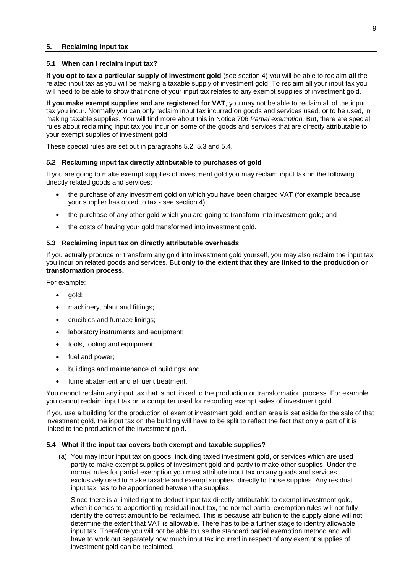#### <span id="page-8-0"></span>**5. Reclaiming input tax**

### <span id="page-8-1"></span>**5.1 When can I reclaim input tax?**

**If you opt to tax a particular supply of investment gold** (see section [4\)](#page-7-0) you will be able to reclaim **all** the related input tax as you will be making a taxable supply of investment gold. To reclaim all your input tax you will need to be able to show that none of your input tax relates to any exempt supplies of investment gold.

**If you make exempt supplies and are registered for VAT**, you may not be able to reclaim all of the input tax you incur. Normally you can only reclaim input tax incurred on goods and services used, or to be used, in making taxable supplies. You will find more about this in Notice 706 *Partial exemption.* But, there are special rules about reclaiming input tax you incur on some of the goods and services that are directly attributable to your exempt supplies of investment gold.

These special rules are set out in paragraphs [5.2,](#page-8-2) [5.3](#page-8-3) and [5.4.](#page-8-4) 

## <span id="page-8-2"></span>**5.2 Reclaiming input tax directly attributable to purchases of gold**

If you are going to make exempt supplies of investment gold you may reclaim input tax on the following directly related goods and services:

- the purchase of any investment gold on which you have been charged VAT (for example because your supplier has opted to tax - see section [4\)](#page-7-0);
- $\bullet$ the purchase of any other gold which you are going to transform into investment gold; and
- $\bullet$ the costs of having your gold transformed into investment gold.

## <span id="page-8-3"></span>**5.3 Reclaiming input tax on directly attributable overheads**

If you actually produce or transform any gold into investment gold yourself, you may also reclaim the input tax you incur on related goods and services. But **only to the extent that they are linked to the production or transformation process.** 

For example:

- gold;
- machinery, plant and fittings;
- crucibles and furnace linings;
- laboratory instruments and equipment;
- tools, tooling and equipment;
- fuel and power;
- buildings and maintenance of buildings; and
- fume abatement and effluent treatment.

You cannot reclaim any input tax that is not linked to the production or transformation process. For example, you cannot reclaim input tax on a computer used for recording exempt sales of investment gold.

If you use a building for the production of exempt investment gold, and an area is set aside for the sale of that investment gold, the input tax on the building will have to be split to reflect the fact that only a part of it is linked to the production of the investment gold.

## **5.4 What if the input tax covers both exempt and taxable supplies?**

<span id="page-8-4"></span>(a) You may incur input tax on goods, including taxed investment gold, or services which are used partly to make exempt supplies of investment gold and partly to make other supplies. Under the normal rules for partial exemption you must attribute input tax on any goods and services exclusively used to make taxable and exempt supplies, directly to those supplies. Any residual input tax has to be apportioned between the supplies.

Since there is a limited right to deduct input tax directly attributable to exempt investment gold, when it comes to apportionting residual input tax, the normal partial exemption rules will not fully identify the correct amount to be reclaimed. This is because attribution to the supply alone will not determine the extent that VAT is allowable. There has to be a further stage to identify allowable input tax. Therefore you will not be able to use the standard partial exemption method and will have to work out separately how much input tax incurred in respect of any exempt supplies of investment gold can be reclaimed.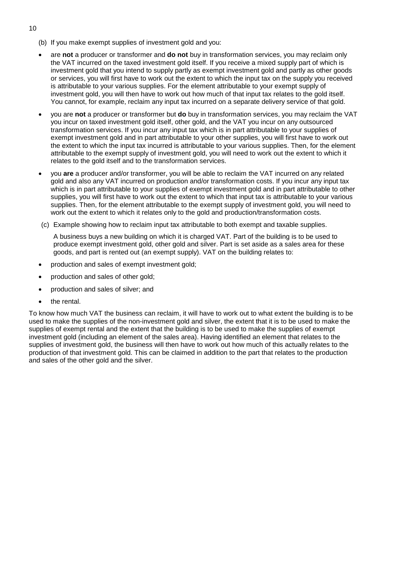- (b) If you make exempt supplies of investment gold and you:
- are **not** a producer or transformer and **do not** buy in transformation services, you may reclaim only the VAT incurred on the taxed investment gold itself. If you receive a mixed supply part of which is investment gold that you intend to supply partly as exempt investment gold and partly as other goods or services, you will first have to work out the extent to which the input tax on the supply you received is attributable to your various supplies. For the element attributable to your exempt supply of investment gold, you will then have to work out how much of that input tax relates to the gold itself. You cannot, for example, reclaim any input tax incurred on a separate delivery service of that gold.
- you are **not** a producer or transformer but **do** buy in transformation services, you may reclaim the VAT you incur on taxed investment gold itself, other gold, and the VAT you incur on any outsourced transformation services. If you incur any input tax which is in part attributable to your supplies of exempt investment gold and in part attributable to your other supplies, you will first have to work out the extent to which the input tax incurred is attributable to your various supplies. Then, for the element attributable to the exempt supply of investment gold, you will need to work out the extent to which it relates to the gold itself and to the transformation services.
- you **are** a producer and/or transformer, you will be able to reclaim the VAT incurred on any related gold and also any VAT incurred on production and/or transformation costs. If you incur any input tax which is in part attributable to your supplies of exempt investment gold and in part attributable to other supplies, you will first have to work out the extent to which that input tax is attributable to your various supplies. Then, for the element attributable to the exempt supply of investment gold, you will need to work out the extent to which it relates only to the gold and production/transformation costs.
- (c) Example showing how to reclaim input tax attributable to both exempt and taxable supplies.

A business buys a new building on which it is charged VAT. Part of the building is to be used to produce exempt investment gold, other gold and silver. Part is set aside as a sales area for these goods, and part is rented out (an exempt supply). VAT on the building relates to:

- production and sales of exempt investment gold;
- production and sales of other gold;
- production and sales of silver; and
- the rental.

To know how much VAT the business can reclaim, it will have to work out to what extent the building is to be used to make the supplies of the non-investment gold and silver, the extent that it is to be used to make the supplies of exempt rental and the extent that the building is to be used to make the supplies of exempt investment gold (including an element of the sales area). Having identified an element that relates to the supplies of investment gold, the business will then have to work out how much of this actually relates to the production of that investment gold. This can be claimed in addition to the part that relates to the production and sales of the other gold and the silver.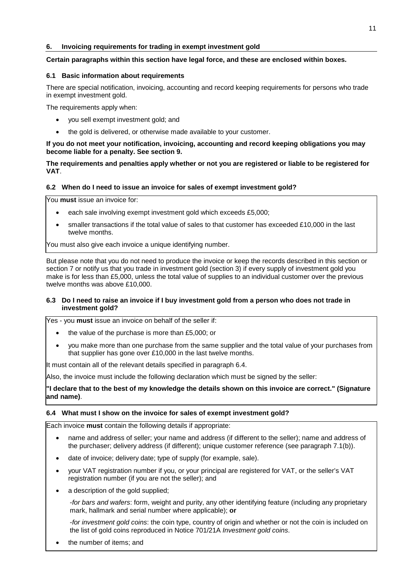## <span id="page-10-0"></span>**6. Invoicing requirements for trading in exempt investment gold**

## **Certain paragraphs within this section have legal force, and these are enclosed within boxes.**

## <span id="page-10-1"></span>**6.1 Basic information about requirements**

There are special notification, invoicing, accounting and record keeping requirements for persons who trade in exempt investment gold.

The requirements apply when:

- $\bullet$ you sell exempt investment gold; and
- the gold is delivered, or otherwise made available to your customer.

## **If you do not meet your notification, invoicing, accounting and record keeping obligations you may become liable for a penalty. See section [9.](#page-16-0)**

## **The requirements and penalties apply whether or not you are registered or liable to be registered for VAT**.

## <span id="page-10-2"></span>**6.2 When do I need to issue an invoice for sales of exempt investment gold?**

You **must** issue an invoice for:

- each sale involving exempt investment gold which exceeds £5,000;
- smaller transactions if the total value of sales to that customer has exceeded £10,000 in the last twelve months.

You must also give each invoice a unique identifying number.

But please note that you do not need to produce the invoice or keep the records described in this section or section [7](#page-12-0) or notify us that you trade in investment gold (section [3\)](#page-5-0) if every supply of investment gold you make is for less than £5,000, unless the total value of supplies to an individual customer over the previous twelve months was above £10,000.

## <span id="page-10-3"></span>**6.3 Do I need to raise an invoice if I buy investment gold from a person who does not trade in investment gold?**

Yes - you **must** issue an invoice on behalf of the seller if:

- $\bullet$ the value of the purchase is more than £5,000; or
- you make more than one purchase from the same supplier and the total value of your purchases from that supplier has gone over £10,000 in the last twelve months.

It must contain all of the relevant details specified in paragraph [6.4.](#page-10-4) 

Also, the invoice must include the following declaration which must be signed by the seller:

**"I declare that to the best of my knowledge the details shown on this invoice are correct." (Signature and name)**.

## <span id="page-10-4"></span>**6.4 What must I show on the invoice for sales of exempt investment gold?**

Each invoice **must** contain the following details if appropriate:

- name and address of seller; your name and address (if different to the seller); name and address of the purchaser; delivery address (if different); unique customer reference (see paragraph [7.1\(b](#page-12-1))).
- date of invoice; delivery date; type of supply (for example, sale).
- your VAT registration number if you, or your principal are registered for VAT, or the seller's VAT registration number (if you are not the seller); and
- a description of the gold supplied;

-*for bars and wafers*: form, weight and purity, any other identifying feature (including any proprietary mark, hallmark and serial number where applicable); **or**

-*for investment gold coins*: the coin type, country of origin and whether or not the coin is included on the list of gold coins reproduced in Notice 701/21A *Investment gold coins*.

the number of items; and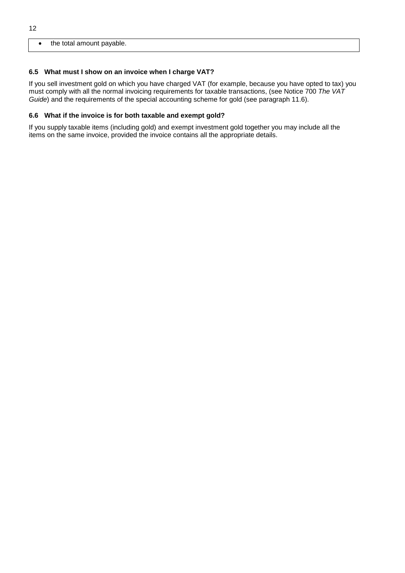#### $\bullet$ the total amount payable.

## <span id="page-11-0"></span>**6.5 What must I show on an invoice when I charge VAT?**

If you sell investment gold on which you have charged VAT (for example, because you have opted to tax) you must comply with all the normal invoicing requirements for taxable transactions, (see Notice 700 *The VAT Guide*) and the requirements of the special accounting scheme for gold (see paragraph 11.6).

## <span id="page-11-1"></span>**6.6 What if the invoice is for both taxable and exempt gold?**

If you supply taxable items (including gold) and exempt investment gold together you may include all the items on the same invoice, provided the invoice contains all the appropriate details.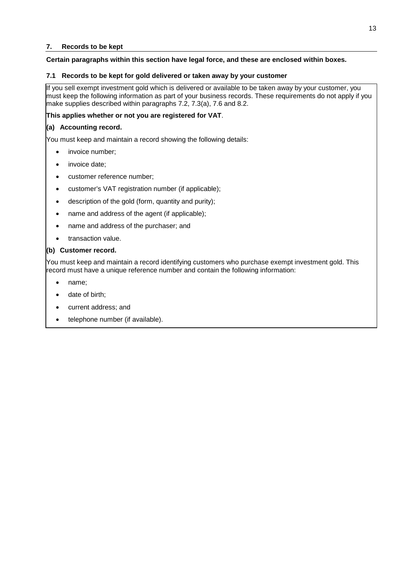## <span id="page-12-0"></span>**7. Records to be kept**

## **Certain paragraphs within this section have legal force, and these are enclosed within boxes.**

## <span id="page-12-1"></span>**7.1 Records to be kept for gold delivered or taken away by your customer**

If you sell exempt investment gold which is delivered or available to be taken away by your customer, you must keep the following information as part of your business records. These requirements do not apply if you make supplies described within paragraphs [7.2,](#page-13-0) [7.3\(](#page-13-1)a), [7.6](#page-14-2) and [8.2.](#page-15-2) 

## **This applies whether or not you are registered for VAT**.

## **(a) Accounting record.**

You must keep and maintain a record showing the following details:

- invoice number;
- invoice date;
- customer reference number;
- customer's VAT registration number (if applicable);
- description of the gold (form, quantity and purity);
- name and address of the agent (if applicable);
- $\bullet$ name and address of the purchaser; and
- transaction value.

## **(b) Customer record.**

You must keep and maintain a record identifying customers who purchase exempt investment gold. This record must have a unique reference number and contain the following information:

- name;
- date of birth;
- current address; and
- telephone number (if available).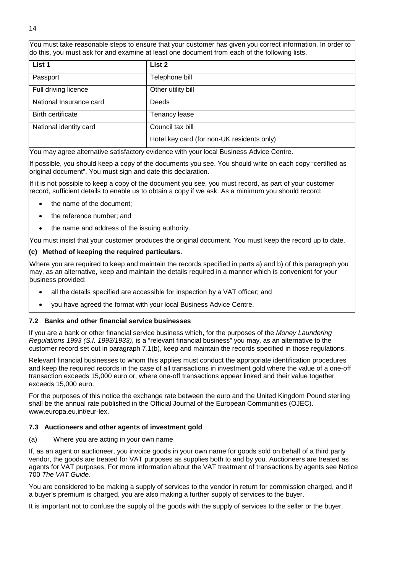You must take reasonable steps to ensure that your customer has given you correct information. In order to do this, you must ask for and examine at least one document from each of the following lists.

| List 1                   | List 2                                     |
|--------------------------|--------------------------------------------|
| Passport                 | Telephone bill                             |
| Full driving licence     | Other utility bill                         |
| National Insurance card  | Deeds                                      |
| <b>Birth certificate</b> | <b>Tenancy lease</b>                       |
| National identity card   | Council tax bill                           |
|                          | Hotel key card (for non-UK residents only) |

You may agree alternative satisfactory evidence with your local Business Advice Centre.

If possible, you should keep a copy of the documents you see. You should write on each copy "certified as original document". You must sign and date this declaration.

If it is not possible to keep a copy of the document you see, you must record, as part of your customer record, sufficient details to enable us to obtain a copy if we ask. As a minimum you should record:

- $\bullet$ the name of the document;
- the reference number; and
- the name and address of the issuing authority.

You must insist that your customer produces the original document. You must keep the record up to date.

## **(c) Method of keeping the required particulars.**

Where you are required to keep and maintain the records specified in parts a) and b) of this paragraph you may, as an alternative, keep and maintain the details required in a manner which is convenient for your business provided:

- all the details specified are accessible for inspection by a VAT officer; and
- you have agreed the format with your local Business Advice Centre.

## <span id="page-13-0"></span>**7.2 Banks and other financial service businesses**

If you are a bank or other financial service business which, for the purposes of the *Money Laundering Regulations 1993 (S.I. 1993/1933)*, is a "relevant financial business" you may, as an alternative to the customer record set out in paragraph [7.1\(](#page-12-1)b), keep and maintain the records specified in those regulations.

Relevant financial businesses to whom this applies must conduct the appropriate identification procedures and keep the required records in the case of all transactions in investment gold where the value of a one-off transaction exceeds 15,000 euro or, where one-off transactions appear linked and their value together exceeds 15,000 euro.

For the purposes of this notice the exchange rate between the euro and the United Kingdom Pound sterling shall be the annual rate published in the Official Journal of the European Communities (OJEC). www.europa.eu.int/eur-lex.

## <span id="page-13-1"></span>**7.3 Auctioneers and other agents of investment gold**

(a) Where you are acting in your own name

If, as an agent or auctioneer, you invoice goods in your own name for goods sold on behalf of a third party vendor, the goods are treated for VAT purposes as supplies both to and by you. Auctioneers are treated as agents for VAT purposes. For more information about the VAT treatment of transactions by agents see Notice 700 *The VAT Guide.* 

You are considered to be making a supply of services to the vendor in return for commission charged, and if a buyer's premium is charged, you are also making a further supply of services to the buyer.

It is important not to confuse the supply of the goods with the supply of services to the seller or the buyer.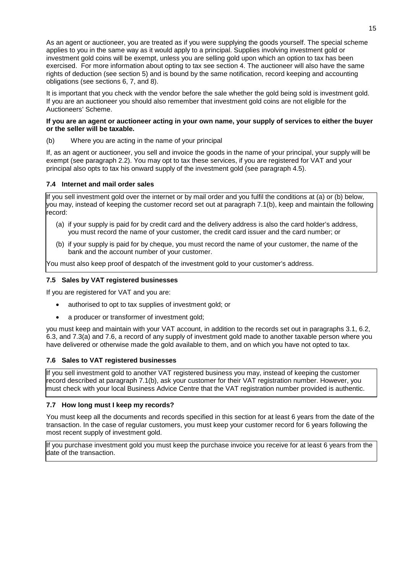As an agent or auctioneer, you are treated as if you were supplying the goods yourself. The special scheme applies to you in the same way as it would apply to a principal. Supplies involving investment gold or investment gold coins will be exempt, unless you are selling gold upon which an option to tax has been exercised. For more information about opting to tax see section [4.](#page-7-0) The auctioneer will also have the same rights of deduction (see section [5\)](#page-8-0) and is bound by the same notification, record keeping and accounting obligations (see sections [6,](#page-10-0) [7,](#page-12-0) and [8\)](#page-15-0).

It is important that you check with the vendor before the sale whether the gold being sold is investment gold. If you are an auctioneer you should also remember that investment gold coins are not eligible for the Auctioneers' Scheme.

## **If you are an agent or auctioneer acting in your own name, your supply of services to either the buyer or the seller will be taxable.**

(b) Where you are acting in the name of your principal

If, as an agent or auctioneer, you sell and invoice the goods in the name of your principal, your supply will be exempt (see paragraph [2.2\)](#page-4-2). You may opt to tax these services, if you are registered for VAT and your principal also opts to tax his onward supply of the investment gold (see paragraph [4.5\).](#page-7-5)

## <span id="page-14-0"></span>**7.4 Internet and mail order sales**

If you sell investment gold over the internet or by mail order and you fulfil the conditions at (a) or (b) below, you may, instead of keeping the customer record set out at paragraph [7.1\(](#page-12-1)b), keep and maintain the following record:

- (a) if your supply is paid for by credit card and the delivery address is also the card holder's address, you must record the name of your customer, the credit card issuer and the card number; or
- (b) if your supply is paid for by cheque, you must record the name of your customer, the name of the bank and the account number of your customer.

You must also keep proof of despatch of the investment gold to your customer's address.

## <span id="page-14-1"></span>**7.5 Sales by VAT registered businesses**

If you are registered for VAT and you are:

- $\bullet$ authorised to opt to tax supplies of investment gold; or
- $\bullet$ a producer or transformer of investment gold;

you must keep and maintain with your VAT account, in addition to the records set out in paragraphs [3.1,](#page-5-1) [6.2,](#page-10-2)  [6.3,](#page-10-3) and [7.3\(](#page-13-1)a) and [7.6,](#page-14-2) a record of any supply of investment gold made to another taxable person where you have delivered or otherwise made the gold available to them, and on which you have not opted to tax.

## <span id="page-14-2"></span>**7.6 Sales to VAT registered businesses**

If you sell investment gold to another VAT registered business you may, instead of keeping the customer record described at paragraph [7.1\(](#page-12-1)b), ask your customer for their VAT registration number. However, you must check with your local Business Advice Centre that the VAT registration number provided is authentic.

## <span id="page-14-3"></span>**7.7 How long must I keep my records?**

You must keep all the documents and records specified in this section for at least 6 years from the date of the transaction. In the case of regular customers, you must keep your customer record for 6 years following the most recent supply of investment gold.

If you purchase investment gold you must keep the purchase invoice you receive for at least 6 years from the date of the transaction.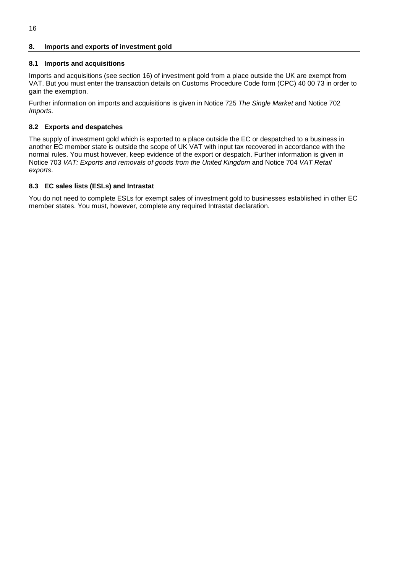## <span id="page-15-0"></span>**8. Imports and exports of investment gold**

## <span id="page-15-1"></span>**8.1 Imports and acquisitions**

Imports and acquisitions (see section [16\)](#page-27-0) of investment gold from a place outside the UK are exempt from VAT. But you must enter the transaction details on Customs Procedure Code form (CPC) 40 00 73 in order to gain the exemption.

Further information on imports and acquisitions is given in Notice 725 *The Single Market* and Notice 702 *Imports.*

## <span id="page-15-2"></span>**8.2 Exports and despatches**

The supply of investment gold which is exported to a place outside the EC or despatched to a business in another EC member state is outside the scope of UK VAT with input tax recovered in accordance with the normal rules. You must however, keep evidence of the export or despatch. Further information is given in Notice 703 *VAT: Exports and removals of goods from the United Kingdom* and Notice 704 *VAT Retail exports*.

## <span id="page-15-3"></span>**8.3 EC sales lists (ESLs) and Intrastat**

You do not need to complete ESLs for exempt sales of investment gold to businesses established in other EC member states. You must, however, complete any required Intrastat declaration.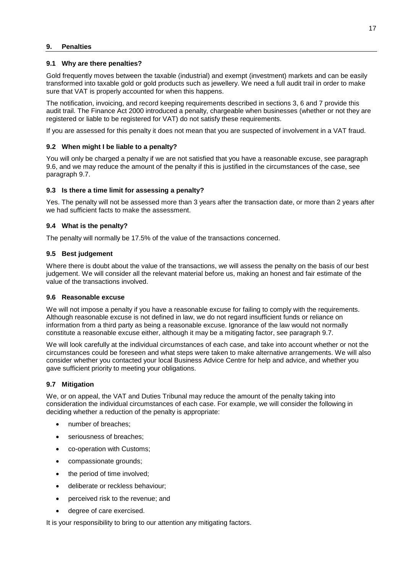### <span id="page-16-0"></span>**9. Penalties**

#### <span id="page-16-1"></span>**9.1 Why are there penalties?**

Gold frequently moves between the taxable (industrial) and exempt (investment) markets and can be easily transformed into taxable gold or gold products such as jewellery. We need a full audit trail in order to make sure that VAT is properly accounted for when this happens.

The notification, invoicing, and record keeping requirements described in sections [3,](#page-5-0) [6 a](#page-10-0)nd [7 p](#page-12-0)rovide this audit trail. The Finance Act 2000 introduced a penalty, chargeable when businesses (whether or not they are registered or liable to be registered for VAT) do not satisfy these requirements.

If you are assessed for this penalty it does not mean that you are suspected of involvement in a VAT fraud.

## <span id="page-16-2"></span>**9.2 When might I be liable to a penalty?**

You will only be charged a penalty if we are not satisfied that you have a reasonable excuse, see paragraph [9.6,](#page-16-6) and we may reduce the amount of the penalty if this is justified in the circumstances of the case, see paragraph [9.7.](#page-16-7)

## <span id="page-16-3"></span>**9.3 Is there a time limit for assessing a penalty?**

Yes. The penalty will not be assessed more than 3 years after the transaction date, or more than 2 years after we had sufficient facts to make the assessment.

## <span id="page-16-4"></span>**9.4 What is the penalty?**

The penalty will normally be 17.5% of the value of the transactions concerned.

## <span id="page-16-5"></span>**9.5 Best judgement**

Where there is doubt about the value of the transactions, we will assess the penalty on the basis of our best judgement. We will consider all the relevant material before us, making an honest and fair estimate of the value of the transactions involved.

## <span id="page-16-6"></span>**9.6 Reasonable excuse**

We will not impose a penalty if you have a reasonable excuse for failing to comply with the requirements. Although reasonable excuse is not defined in law, we do not regard insufficient funds or reliance on information from a third party as being a reasonable excuse. Ignorance of the law would not normally constitute a reasonable excuse either, although it may be a mitigating factor, see paragraph [9.7.](#page-16-7) 

We will look carefully at the individual circumstances of each case, and take into account whether or not the circumstances could be foreseen and what steps were taken to make alternative arrangements. We will also consider whether you contacted your local Business Advice Centre for help and advice, and whether you gave sufficient priority to meeting your obligations.

## <span id="page-16-7"></span>**9.7 Mitigation**

We, or on appeal, the VAT and Duties Tribunal may reduce the amount of the penalty taking into consideration the individual circumstances of each case. For example, we will consider the following in deciding whether a reduction of the penalty is appropriate:

- number of breaches;
- seriousness of breaches;
- co-operation with Customs;
- compassionate grounds;
- the period of time involved;
- deliberate or reckless behaviour;
- perceived risk to the revenue; and
- degree of care exercised.

It is your responsibility to bring to our attention any mitigating factors.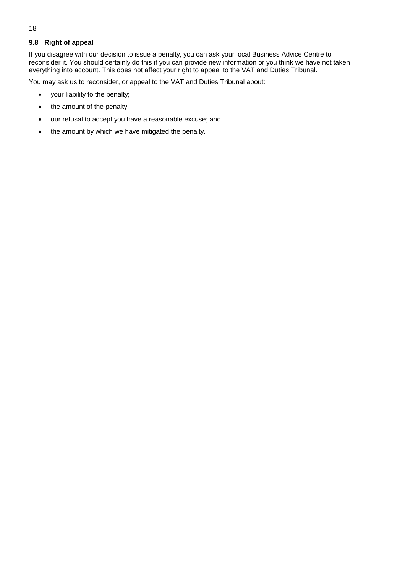## <span id="page-17-0"></span>**9.8 Right of appeal**

If you disagree with our decision to issue a penalty, you can ask your local Business Advice Centre to reconsider it. You should certainly do this if you can provide new information or you think we have not taken everything into account. This does not affect your right to appeal to the VAT and Duties Tribunal.

You may ask us to reconsider, or appeal to the VAT and Duties Tribunal about:

- your liability to the penalty;
- the amount of the penalty;
- $\bullet$ our refusal to accept you have a reasonable excuse; and
- $\bullet$ the amount by which we have mitigated the penalty.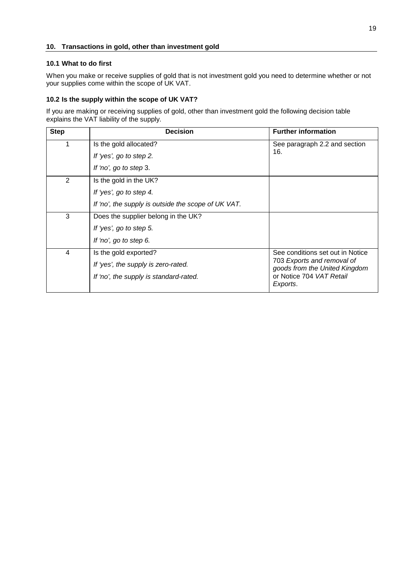## <span id="page-18-0"></span>**10. Transactions in gold, other than investment gold**

## <span id="page-18-1"></span>**10.1 What to do first**

When you make or receive supplies of gold that is not investment gold you need to determine whether or not your supplies come within the scope of UK VAT.

## <span id="page-18-2"></span>**10.2 Is the supply within the scope of UK VAT?**

If you are making or receiving supplies of gold, other than investment gold the following decision table explains the VAT liability of the supply.

| <b>Step</b>    | <b>Decision</b>                                     | <b>Further information</b>                                  |
|----------------|-----------------------------------------------------|-------------------------------------------------------------|
|                | Is the gold allocated?                              | See paragraph 2.2 and section                               |
|                | If 'yes', go to step 2.                             | 16.                                                         |
|                | If 'no', go to step 3.                              |                                                             |
| 2              | Is the gold in the UK?                              |                                                             |
|                | If 'yes', go to step 4.                             |                                                             |
|                | If 'no', the supply is outside the scope of UK VAT. |                                                             |
| 3              | Does the supplier belong in the UK?                 |                                                             |
|                | If 'yes', go to step 5.                             |                                                             |
|                | If 'no', go to step 6.                              |                                                             |
| $\overline{4}$ | Is the gold exported?                               | See conditions set out in Notice                            |
|                | If 'yes', the supply is zero-rated.                 | 703 Exports and removal of<br>goods from the United Kingdom |
|                | If 'no', the supply is standard-rated.              | or Notice 704 VAT Retail<br>Exports.                        |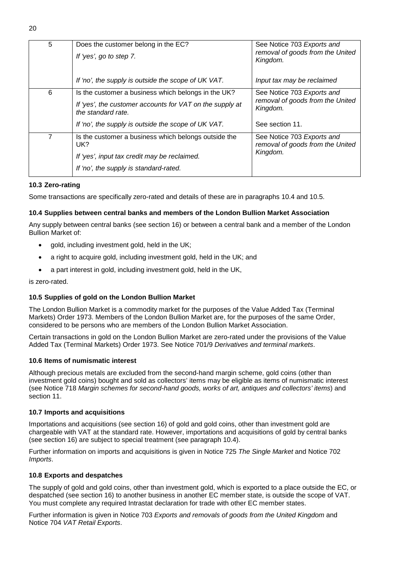| 5              | Does the customer belong in the EC?<br>If 'yes', go to step 7.                 | See Notice 703 Exports and<br>removal of goods from the United<br>Kingdom. |  |
|----------------|--------------------------------------------------------------------------------|----------------------------------------------------------------------------|--|
|                | If 'no', the supply is outside the scope of UK VAT.                            | Input tax may be reclaimed                                                 |  |
| 6              | Is the customer a business which belongs in the UK?                            | See Notice 703 Exports and                                                 |  |
|                | If 'yes', the customer accounts for VAT on the supply at<br>the standard rate. | removal of goods from the United<br>Kingdom.                               |  |
|                | If 'no', the supply is outside the scope of UK VAT.                            | See section 11.                                                            |  |
| $\overline{7}$ | Is the customer a business which belongs outside the<br>UK?                    | See Notice 703 Exports and<br>removal of goods from the United             |  |
|                | If 'yes', input tax credit may be reclaimed.                                   | Kingdom.                                                                   |  |
|                | If 'no', the supply is standard-rated.                                         |                                                                            |  |
|                |                                                                                |                                                                            |  |

## <span id="page-19-0"></span>**10.3 Zero-rating**

Some transactions are specifically zero-rated and details of these are in paragraphs [10.4 a](#page-19-1)nd [10.5.](#page-19-2) 

## <span id="page-19-1"></span>**10.4 Supplies between central banks and members of the London Bullion Market Association**

Any supply between central banks (see section [16\)](#page-27-0) or between a central bank and a member of the London Bullion Market of:

- gold, including investment gold, held in the UK;
- $\bullet$ a right to acquire gold, including investment gold, held in the UK; and
- $\bullet$ a part interest in gold, including investment gold, held in the UK,

is zero-rated.

## <span id="page-19-2"></span>**10.5 Supplies of gold on the London Bullion Market**

The London Bullion Market is a commodity market for the purposes of the Value Added Tax (Terminal Markets) Order 1973. Members of the London Bullion Market are, for the purposes of the same Order, considered to be persons who are members of the London Bullion Market Association.

Certain transactions in gold on the London Bullion Market are zero-rated under the provisions of the Value Added Tax (Terminal Markets) Order 1973. See Notice 701/9 *Derivatives and terminal markets*.

## <span id="page-19-3"></span>**10.6 Items of numismatic interest**

Although precious metals are excluded from the second-hand margin scheme, gold coins (other than investment gold coins) bought and sold as collectors' items may be eligible as items of numismatic interest (see Notice 718 *Margin schemes for second-hand goods, works of art, antiques and collectors' items*) and section [11.](#page-20-0)

## <span id="page-19-4"></span>**10.7 Imports and acquisitions**

Importations and acquisitions (see section [16\)](#page-27-0) of gold and gold coins, other than investment gold are chargeable with VAT at the standard rate. However, importations and acquisitions of gold by central banks (see section [16\)](#page-27-0) are subject to special treatment (see paragraph [10.4\)](#page-19-1).

Further information on imports and acquisitions is given in Notice 725 *The Single Market* and Notice 702 *Imports*.

## <span id="page-19-5"></span>**10.8 Exports and despatches**

The supply of gold and gold coins, other than investment gold, which is exported to a place outside the EC, or despatched (see section [16\)](#page-27-0) to another business in another EC member state, is outside the scope of VAT. You must complete any required Intrastat declaration for trade with other EC member states.

Further information is given in Notice 703 *Exports and removals of goods from the United Kingdom* and Notice 704 *VAT Retail Exports*.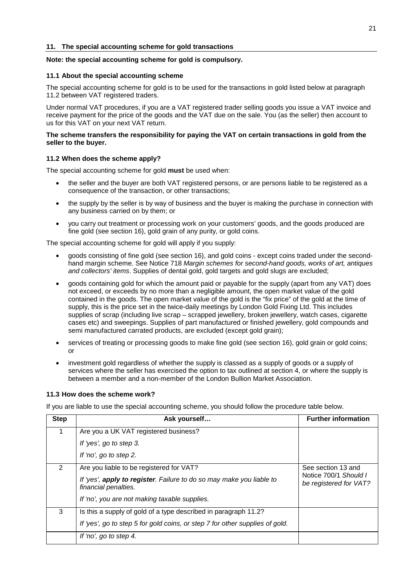## <span id="page-20-0"></span>**Note: the special accounting scheme for gold is compulsory.**

## <span id="page-20-1"></span>**11.1 About the special accounting scheme**

The special accounting scheme for gold is to be used for the transactions in gold listed below at paragraph [11.2](#page-20-2) between VAT registered traders.

Under normal VAT procedures, if you are a VAT registered trader selling goods you issue a VAT invoice and receive payment for the price of the goods and the VAT due on the sale. You (as the seller) then account to us for this VAT on your next VAT return.

## **The scheme transfers the responsibility for paying the VAT on certain transactions in gold from the seller to the buyer.**

## <span id="page-20-2"></span>**11.2 When does the scheme apply?**

The special accounting scheme for gold **must** be used when:

- the seller and the buyer are both VAT registered persons, or are persons liable to be registered as a consequence of the transaction, or other transactions;
- the supply by the seller is by way of business and the buyer is making the purchase in connection with any business carried on by them; or
- you carry out treatment or processing work on your customers' goods, and the goods produced are fine gold (see section [16\)](#page-27-0), gold grain of any purity, or gold coins.

The special accounting scheme for gold will apply if you supply:

- goods consisting of fine gold (see section [16\)](#page-27-0), and gold coins - except coins traded under the secondhand margin scheme. See Notice 718 *Margin schemes for second-hand goods, works of art, antiques and collectors' items*. Supplies of dental gold, gold targets and gold slugs are excluded;
- goods containing gold for which the amount paid or payable for the supply (apart from any VAT) does not exceed, or exceeds by no more than a negligible amount, the open market value of the gold contained in the goods. The open market value of the gold is the "fix price" of the gold at the time of supply, this is the price set in the twice-daily meetings by London Gold Fixing Ltd. This includes supplies of scrap (including live scrap – scrapped jewellery, broken jewellery, watch cases, cigarette cases etc) and sweepings. Supplies of part manufactured or finished jewellery, gold compounds and semi manufactured carrated products, are excluded (except gold grain);
- services of treating or processing goods to make fine gold (see section [16\),](#page-27-0) gold grain or gold coins; or
- investment gold regardless of whether the supply is classed as a supply of goods or a supply of services where the seller has exercised the option to tax outlined at section [4,](#page-7-0) or where the supply is between a member and a non-member of the London Bullion Market Association.

## <span id="page-20-3"></span>**11.3 How does the scheme work?**

If you are liable to use the special accounting scheme, you should follow the procedure table below.

| <b>Step</b> | Ask yourself                                                                                 | <b>Further information</b>                      |
|-------------|----------------------------------------------------------------------------------------------|-------------------------------------------------|
|             | Are you a UK VAT registered business?                                                        |                                                 |
|             | If 'yes', go to step 3.                                                                      |                                                 |
|             | If 'no', go to step 2.                                                                       |                                                 |
| 2           | Are you liable to be registered for VAT?                                                     | See section 13 and                              |
|             | If 'yes', apply to register. Failure to do so may make you liable to<br>financial penalties. | Notice 700/1 Should I<br>be registered for VAT? |
|             | If 'no', you are not making taxable supplies.                                                |                                                 |
| 3           | Is this a supply of gold of a type described in paragraph 11.2?                              |                                                 |
|             | If 'yes', go to step 5 for gold coins, or step 7 for other supplies of gold.                 |                                                 |
|             | If 'no', go to step 4.                                                                       |                                                 |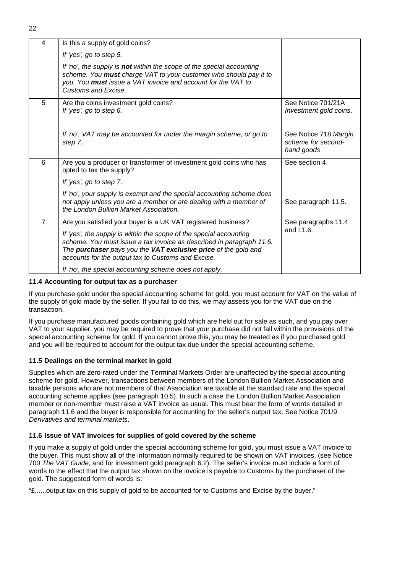| ٠ |
|---|
|   |

| 4              | Is this a supply of gold coins?                                                                                                                                                                                                                                    |                                                           |
|----------------|--------------------------------------------------------------------------------------------------------------------------------------------------------------------------------------------------------------------------------------------------------------------|-----------------------------------------------------------|
|                | If 'yes', go to step 5.                                                                                                                                                                                                                                            |                                                           |
|                | If 'no', the supply is not within the scope of the special accounting<br>scheme. You must charge VAT to your customer who should pay it to<br>you. You must issue a VAT invoice and account for the VAT to<br>Customs and Excise.                                  |                                                           |
| 5              | Are the coins investment gold coins?<br>If 'yes', go to step 6.                                                                                                                                                                                                    | See Notice 701/21A<br>Investment gold coins.              |
|                | If 'no', VAT may be accounted for under the margin scheme, or go to<br>step 7.                                                                                                                                                                                     | See Notice 718 Margin<br>scheme for second-<br>hand goods |
| 6              | Are you a producer or transformer of investment gold coins who has<br>opted to tax the supply?                                                                                                                                                                     | See section 4.                                            |
|                | If 'yes', go to step 7.                                                                                                                                                                                                                                            |                                                           |
|                | If 'no', your supply is exempt and the special accounting scheme does<br>not apply unless you are a member or are dealing with a member of<br>the London Bullion Market Association.                                                                               | See paragraph 11.5.                                       |
| $\overline{7}$ | Are you satisfied your buyer is a UK VAT registered business?                                                                                                                                                                                                      | See paragraphs 11.4                                       |
|                | If 'yes', the supply is within the scope of the special accounting<br>scheme. You must issue a tax invoice as described in paragraph 11.6.<br>The purchaser pays you the VAT exclusive price of the gold and<br>accounts for the output tax to Customs and Excise. | and 11.6.                                                 |
|                | If 'no', the special accounting scheme does not apply.                                                                                                                                                                                                             |                                                           |

## <span id="page-21-0"></span>**11.4 Accounting for output tax as a purchaser**

If you purchase gold under the special accounting scheme for gold, you must account for VAT on the value of the supply of gold made by the seller. If you fail to do this, we may assess you for the VAT due on the transaction.

If you purchase manufactured goods containing gold which are held out for sale as such, and you pay over VAT to your supplier, you may be required to prove that your purchase did not fall within the provisions of the special accounting scheme for gold. If you cannot prove this, you may be treated as if you purchased gold and you will be required to account for the output tax due under the special accounting scheme.

## <span id="page-21-1"></span>**11.5 Dealings on the terminal market in gold**

Supplies which are zero-rated under the Terminal Markets Order are unaffected by the special accounting scheme for gold. However, transactions between members of the London Bullion Market Association and taxable persons who are not members of that Association are taxable at the standard rate and the special accounting scheme applies (see paragraph [10.5\)](#page-19-2). In such a case the London Bullion Market Association member or non-member must raise a VAT invoice as usual. This must bear the form of words detailed in paragraph [11.6](#page-21-2) and the buyer is responsible for accounting for the seller's output tax. See Notice 701/9 *Derivatives and terminal markets*.

## <span id="page-21-2"></span>**11.6 Issue of VAT invoices for supplies of gold covered by the scheme**

If you make a supply of gold under the special accounting scheme for gold, you must issue a VAT invoice to the buyer. This must show all of the information normally required to be shown on VAT invoices, (see Notice 700 *The VAT Guide*, and for investment gold paragraph [6.2\)](#page-10-2). The seller's invoice must include a form of words to the effect that the output tax shown on the invoice is payable to Customs by the purchaser of the gold. The suggested form of words is:

"£......output tax on this supply of gold to be accounted for to Customs and Excise by the buyer."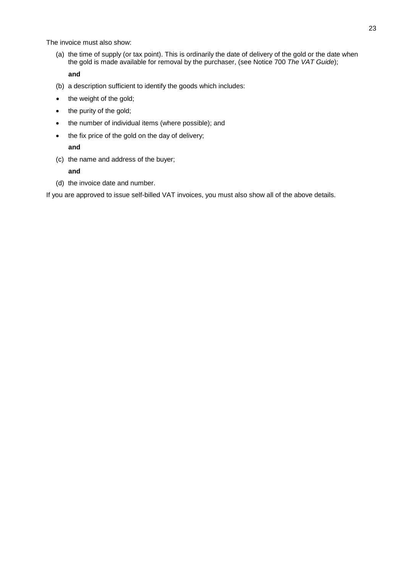The invoice must also show:

(a) the time of supply (or tax point). This is ordinarily the date of delivery of the gold or the date when the gold is made available for removal by the purchaser, (see Notice 700 *The VAT Guide*);

## **and**

- (b) a description sufficient to identify the goods which includes:
- the weight of the gold;
- $\bullet$ the purity of the gold;
- the number of individual items (where possible); and
- the fix price of the gold on the day of delivery;

## **and**

(c) the name and address of the buyer;

## **and**

(d) the invoice date and number.

If you are approved to issue self-billed VAT invoices, you must also show all of the above details.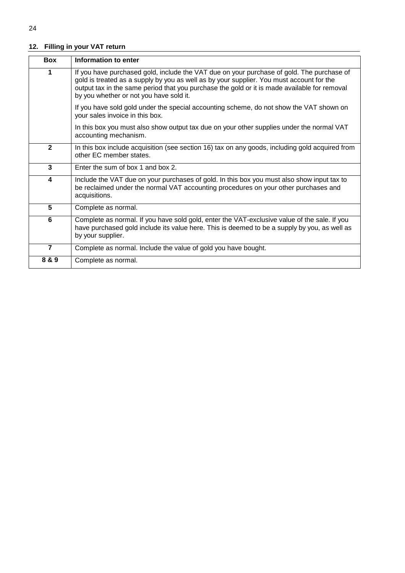## <span id="page-23-0"></span>**12. Filling in your VAT return**

| <b>Box</b>     | Information to enter                                                                                                                                                                                                                                                                                                             |
|----------------|----------------------------------------------------------------------------------------------------------------------------------------------------------------------------------------------------------------------------------------------------------------------------------------------------------------------------------|
| 1              | If you have purchased gold, include the VAT due on your purchase of gold. The purchase of<br>gold is treated as a supply by you as well as by your supplier. You must account for the<br>output tax in the same period that you purchase the gold or it is made available for removal<br>by you whether or not you have sold it. |
|                | If you have sold gold under the special accounting scheme, do not show the VAT shown on<br>your sales invoice in this box.                                                                                                                                                                                                       |
|                | In this box you must also show output tax due on your other supplies under the normal VAT<br>accounting mechanism.                                                                                                                                                                                                               |
| $\mathbf{2}$   | In this box include acquisition (see section 16) tax on any goods, including gold acquired from<br>other EC member states.                                                                                                                                                                                                       |
| 3              | Enter the sum of box 1 and box 2.                                                                                                                                                                                                                                                                                                |
| 4              | Include the VAT due on your purchases of gold. In this box you must also show input tax to<br>be reclaimed under the normal VAT accounting procedures on your other purchases and<br>acquisitions.                                                                                                                               |
| 5              | Complete as normal.                                                                                                                                                                                                                                                                                                              |
| 6              | Complete as normal. If you have sold gold, enter the VAT-exclusive value of the sale. If you<br>have purchased gold include its value here. This is deemed to be a supply by you, as well as<br>by your supplier.                                                                                                                |
| $\overline{7}$ | Complete as normal. Include the value of gold you have bought.                                                                                                                                                                                                                                                                   |
| 8 & 9          | Complete as normal.                                                                                                                                                                                                                                                                                                              |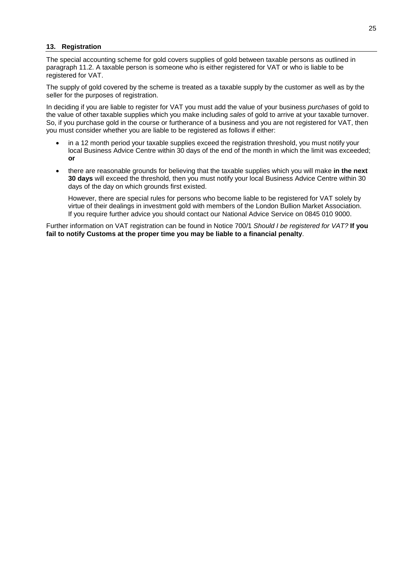## <span id="page-24-0"></span>**13. Registration**

The special accounting scheme for gold covers supplies of gold between taxable persons as outlined in paragraph [11.2.](#page-20-2) A taxable person is someone who is either registered for VAT or who is liable to be registered for VAT.

The supply of gold covered by the scheme is treated as a taxable supply by the customer as well as by the seller for the purposes of registration.

In deciding if you are liable to register for VAT you must add the value of your business *purchases* of gold to the value of other taxable supplies which you make including *sales* of gold to arrive at your taxable turnover. So, if you purchase gold in the course or furtherance of a business and you are not registered for VAT, then you must consider whether you are liable to be registered as follows if either:

- in a 12 month period your taxable supplies exceed the registration threshold, you must notify your local Business Advice Centre within 30 days of the end of the month in which the limit was exceeded; **or**
- there are reasonable grounds for believing that the taxable supplies which you will make **in the next 30 days** will exceed the threshold, then you must notify your local Business Advice Centre within 30 days of the day on which grounds first existed.

However, there are special rules for persons who become liable to be registered for VAT solely by virtue of their dealings in investment gold with members of the London Bullion Market Association. If you require further advice you should contact our National Advice Service on 0845 010 9000.

Further information on VAT registration can be found in Notice 700/1 *Should I be registered for VAT?* **If you fail to notify Customs at the proper time you may be liable to a financial penalty**.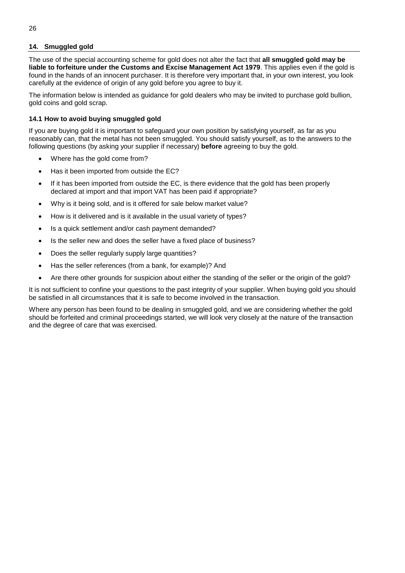## <span id="page-25-0"></span>**14. Smuggled gold**

The use of the special accounting scheme for gold does not alter the fact that **all smuggled gold may be liable to forfeiture under the Customs and Excise Management Act 1979**. This applies even if the gold is found in the hands of an innocent purchaser. It is therefore very important that, in your own interest, you look carefully at the evidence of origin of any gold before you agree to buy it.

The information below is intended as guidance for gold dealers who may be invited to purchase gold bullion, gold coins and gold scrap.

## <span id="page-25-1"></span>**14.1 How to avoid buying smuggled gold**

If you are buying gold it is important to safeguard your own position by satisfying yourself, as far as you reasonably can, that the metal has not been smuggled. You should satisfy yourself, as to the answers to the following questions (by asking your supplier if necessary) **before** agreeing to buy the gold.

- $\bullet$ Where has the gold come from?
- -Has it been imported from outside the EC?
- - If it has been imported from outside the EC, is there evidence that the gold has been properly declared at import and that import VAT has been paid if appropriate?
- $\bullet$ Why is it being sold, and is it offered for sale below market value?
- -How is it delivered and is it available in the usual variety of types?
- -Is a quick settlement and/or cash payment demanded?
- -Is the seller new and does the seller have a fixed place of business?
- -Does the seller regularly supply large quantities?
- $\bullet$ Has the seller references (from a bank, for example)? And
- -Are there other grounds for suspicion about either the standing of the seller or the origin of the gold?

It is not sufficient to confine your questions to the past integrity of your supplier. When buying gold you should be satisfied in all circumstances that it is safe to become involved in the transaction.

Where any person has been found to be dealing in smuggled gold, and we are considering whether the gold should be forfeited and criminal proceedings started, we will look very closely at the nature of the transaction and the degree of care that was exercised.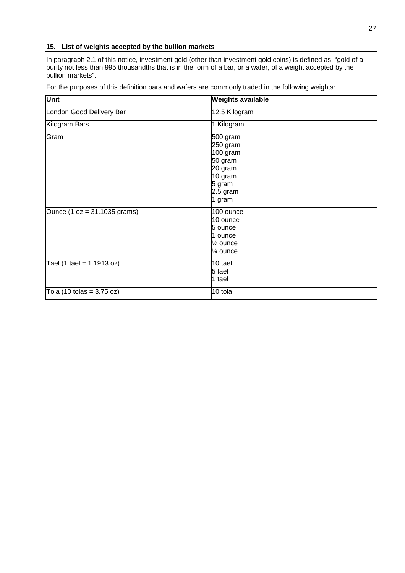## <span id="page-26-0"></span>**15. List of weights accepted by the bullion markets**

In paragraph [2.1](#page-4-1) of this notice, investment gold (other than investment gold coins) is defined as: "gold of a purity not less than 995 thousandths that is in the form of a bar, or a wafer, of a weight accepted by the bullion markets".

For the purposes of this definition bars and wafers are commonly traded in the following weights:

| Unit                                        | <b>Weights available</b>                                                                          |
|---------------------------------------------|---------------------------------------------------------------------------------------------------|
| London Good Delivery Bar                    | 12.5 Kilogram                                                                                     |
| Kilogram Bars                               | 1 Kilogram                                                                                        |
| Gram                                        | 500 gram<br>250 gram<br>100 gram<br>50 gram<br>20 gram<br>10 gram<br>5 gram<br>2.5 gram<br>1 gram |
| Ounce $(1 oz = 31.1035 grams)$              | 100 ounce<br>10 ounce<br>5 ounce<br>1 ounce<br>1/ <sub>2</sub> ounce<br>1⁄4 ounce                 |
| Tael $(1 \text{ tale} = 1.1913 oz)$         | 10 tael<br>5 tael<br>1 tael                                                                       |
| Tola $(10 \text{ tolas} = 3.75 \text{ oz})$ | 10 tola                                                                                           |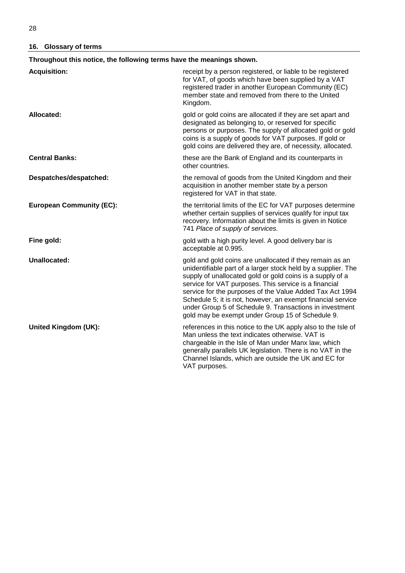## <span id="page-27-0"></span>**16. Glossary of terms**

| Throughout this notice, the following terms have the meanings shown. |                                                                                                                                                                                                                                                                                                                                                                                                                                                                                           |  |
|----------------------------------------------------------------------|-------------------------------------------------------------------------------------------------------------------------------------------------------------------------------------------------------------------------------------------------------------------------------------------------------------------------------------------------------------------------------------------------------------------------------------------------------------------------------------------|--|
| <b>Acquisition:</b>                                                  | receipt by a person registered, or liable to be registered<br>for VAT, of goods which have been supplied by a VAT<br>registered trader in another European Community (EC)<br>member state and removed from there to the United<br>Kingdom.                                                                                                                                                                                                                                                |  |
| Allocated:                                                           | gold or gold coins are allocated if they are set apart and<br>designated as belonging to, or reserved for specific<br>persons or purposes. The supply of allocated gold or gold<br>coins is a supply of goods for VAT purposes. If gold or<br>gold coins are delivered they are, of necessity, allocated.                                                                                                                                                                                 |  |
| <b>Central Banks:</b>                                                | these are the Bank of England and its counterparts in<br>other countries.                                                                                                                                                                                                                                                                                                                                                                                                                 |  |
| Despatches/despatched:                                               | the removal of goods from the United Kingdom and their<br>acquisition in another member state by a person<br>registered for VAT in that state.                                                                                                                                                                                                                                                                                                                                            |  |
| <b>European Community (EC):</b>                                      | the territorial limits of the EC for VAT purposes determine<br>whether certain supplies of services qualify for input tax<br>recovery. Information about the limits is given in Notice<br>741 Place of supply of services.                                                                                                                                                                                                                                                                |  |
| Fine gold:                                                           | gold with a high purity level. A good delivery bar is<br>acceptable at 0.995.                                                                                                                                                                                                                                                                                                                                                                                                             |  |
| Unallocated:                                                         | gold and gold coins are unallocated if they remain as an<br>unidentifiable part of a larger stock held by a supplier. The<br>supply of unallocated gold or gold coins is a supply of a<br>service for VAT purposes. This service is a financial<br>service for the purposes of the Value Added Tax Act 1994<br>Schedule 5; it is not, however, an exempt financial service<br>under Group 5 of Schedule 9. Transactions in investment<br>gold may be exempt under Group 15 of Schedule 9. |  |
| <b>United Kingdom (UK):</b>                                          | references in this notice to the UK apply also to the Isle of<br>Man unless the text indicates otherwise. VAT is<br>chargeable in the Isle of Man under Manx law, which<br>generally parallels UK legislation. There is no VAT in the<br>Channel Islands, which are outside the UK and EC for<br>VAT purposes.                                                                                                                                                                            |  |